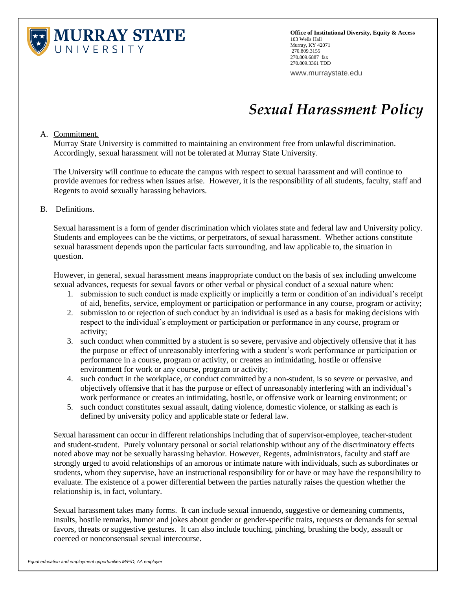

**Office of Institutional Diversity, Equity & Access** 103 Wells Hall Murray, KY 42071 270.809.3155 270.809.6887 fax 270.809.3361 TDD

www.murraystate.edu

## *Sexual Harassment Policy*

A. Commitment.

Murray State University is committed to maintaining an environment free from unlawful discrimination. Accordingly, sexual harassment will not be tolerated at Murray State University.

The University will continue to educate the campus with respect to sexual harassment and will continue to provide avenues for redress when issues arise. However, it is the responsibility of all students, faculty, staff and Regents to avoid sexually harassing behaviors.

## B. Definitions.

Sexual harassment is a form of gender discrimination which violates state and federal law and University policy. Students and employees can be the victims, or perpetrators, of sexual harassment. Whether actions constitute sexual harassment depends upon the particular facts surrounding, and law applicable to, the situation in question.

However, in general, sexual harassment means inappropriate conduct on the basis of sex including unwelcome sexual advances, requests for sexual favors or other verbal or physical conduct of a sexual nature when:

- 1. submission to such conduct is made explicitly or implicitly a term or condition of an individual's receipt of aid, benefits, service, employment or participation or performance in any course, program or activity;
- 2. submission to or rejection of such conduct by an individual is used as a basis for making decisions with respect to the individual's employment or participation or performance in any course, program or activity;
- 3. such conduct when committed by a student is so severe, pervasive and objectively offensive that it has the purpose or effect of unreasonably interfering with a student's work performance or participation or performance in a course, program or activity, or creates an intimidating, hostile or offensive environment for work or any course, program or activity;
- 4. such conduct in the workplace, or conduct committed by a non-student, is so severe or pervasive, and objectively offensive that it has the purpose or effect of unreasonably interfering with an individual's work performance or creates an intimidating, hostile, or offensive work or learning environment; or
- 5. such conduct constitutes sexual assault, dating violence, domestic violence, or stalking as each is defined by university policy and applicable state or federal law.

Sexual harassment can occur in different relationships including that of supervisor-employee, teacher-student and student-student. Purely voluntary personal or social relationship without any of the discriminatory effects noted above may not be sexually harassing behavior. However, Regents, administrators, faculty and staff are strongly urged to avoid relationships of an amorous or intimate nature with individuals, such as subordinates or students, whom they supervise, have an instructional responsibility for or have or may have the responsibility to evaluate. The existence of a power differential between the parties naturally raises the question whether the relationship is, in fact, voluntary.

Sexual harassment takes many forms. It can include sexual innuendo, suggestive or demeaning comments, insults, hostile remarks, humor and jokes about gender or gender-specific traits, requests or demands for sexual favors, threats or suggestive gestures. It can also include touching, pinching, brushing the body, assault or coerced or nonconsensual sexual intercourse.